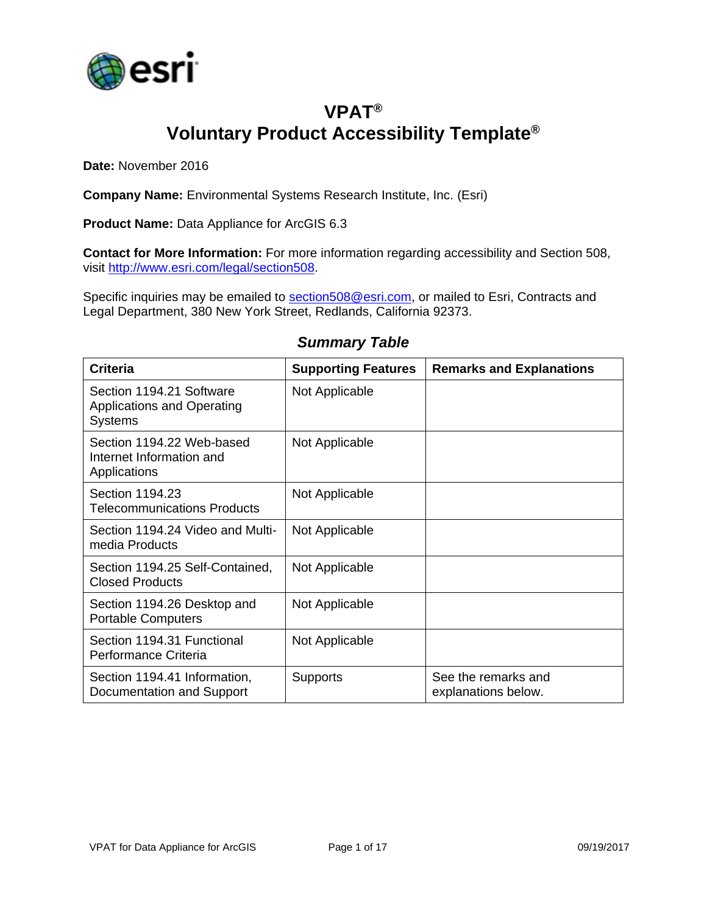

# **VPAT® Voluntary Product Accessibility Template®**

**Date:** November 2016

**Company Name:** Environmental Systems Research Institute, Inc. (Esri)

**Product Name:** Data Appliance for ArcGIS 6.3

**Contact for More Information:** For more information regarding accessibility and Section 508, visit [http://www.esri.com/legal/section508.](http://www.esri.com/legal/section508)

Specific inquiries may be emailed to [section508@esri.com,](mailto:section508@esri.com) or mailed to Esri, Contracts and Legal Department, 380 New York Street, Redlands, California 92373.

| <b>Criteria</b>                                                                 | <b>Supporting Features</b> | <b>Remarks and Explanations</b>            |
|---------------------------------------------------------------------------------|----------------------------|--------------------------------------------|
| Section 1194.21 Software<br><b>Applications and Operating</b><br><b>Systems</b> | Not Applicable             |                                            |
| Section 1194.22 Web-based<br>Internet Information and<br>Applications           | Not Applicable             |                                            |
| Section 1194.23<br><b>Telecommunications Products</b>                           | Not Applicable             |                                            |
| Section 1194.24 Video and Multi-<br>media Products                              | Not Applicable             |                                            |
| Section 1194.25 Self-Contained,<br><b>Closed Products</b>                       | Not Applicable             |                                            |
| Section 1194.26 Desktop and<br><b>Portable Computers</b>                        | Not Applicable             |                                            |
| Section 1194.31 Functional<br>Performance Criteria                              | Not Applicable             |                                            |
| Section 1194.41 Information,<br>Documentation and Support                       | <b>Supports</b>            | See the remarks and<br>explanations below. |

#### *Summary Table*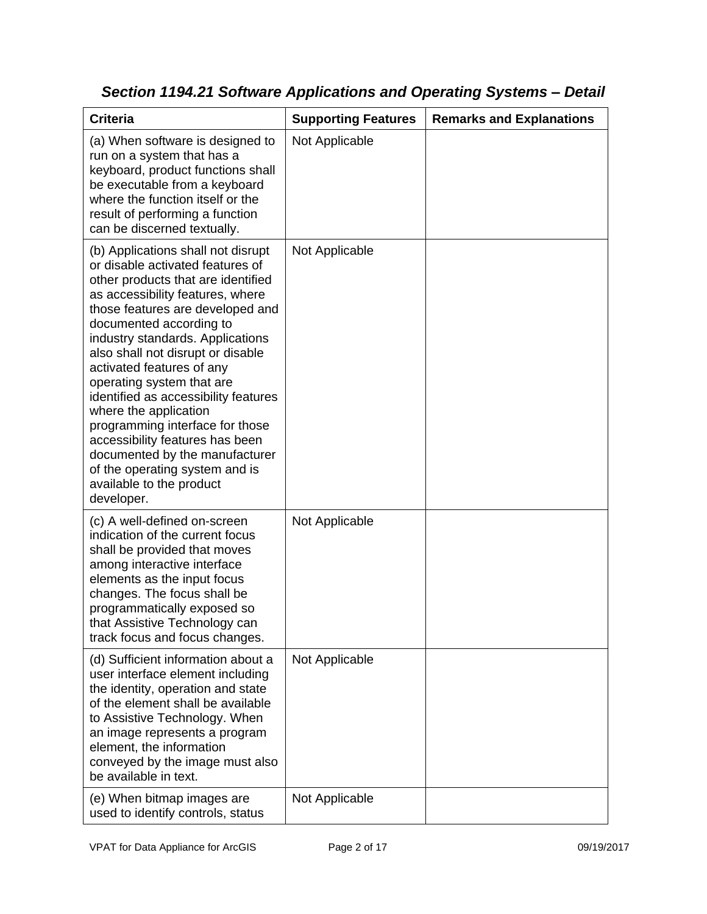| <b>Criteria</b>                                                                                                                                                                                                                                                                                                                                                                                                                                                                                                                                                                                         | <b>Supporting Features</b> | <b>Remarks and Explanations</b> |
|---------------------------------------------------------------------------------------------------------------------------------------------------------------------------------------------------------------------------------------------------------------------------------------------------------------------------------------------------------------------------------------------------------------------------------------------------------------------------------------------------------------------------------------------------------------------------------------------------------|----------------------------|---------------------------------|
| (a) When software is designed to<br>run on a system that has a<br>keyboard, product functions shall<br>be executable from a keyboard<br>where the function itself or the<br>result of performing a function<br>can be discerned textually.                                                                                                                                                                                                                                                                                                                                                              | Not Applicable             |                                 |
| (b) Applications shall not disrupt<br>or disable activated features of<br>other products that are identified<br>as accessibility features, where<br>those features are developed and<br>documented according to<br>industry standards. Applications<br>also shall not disrupt or disable<br>activated features of any<br>operating system that are<br>identified as accessibility features<br>where the application<br>programming interface for those<br>accessibility features has been<br>documented by the manufacturer<br>of the operating system and is<br>available to the product<br>developer. | Not Applicable             |                                 |
| (c) A well-defined on-screen<br>indication of the current focus<br>shall be provided that moves<br>among interactive interface<br>elements as the input focus<br>changes. The focus shall be<br>programmatically exposed so<br>that Assistive Technology can<br>track focus and focus changes.                                                                                                                                                                                                                                                                                                          | Not Applicable             |                                 |
| (d) Sufficient information about a<br>user interface element including<br>the identity, operation and state<br>of the element shall be available<br>to Assistive Technology. When<br>an image represents a program<br>element, the information<br>conveyed by the image must also<br>be available in text.                                                                                                                                                                                                                                                                                              | Not Applicable             |                                 |
| (e) When bitmap images are<br>used to identify controls, status                                                                                                                                                                                                                                                                                                                                                                                                                                                                                                                                         | Not Applicable             |                                 |

*Section 1194.21 Software Applications and Operating Systems – Detail*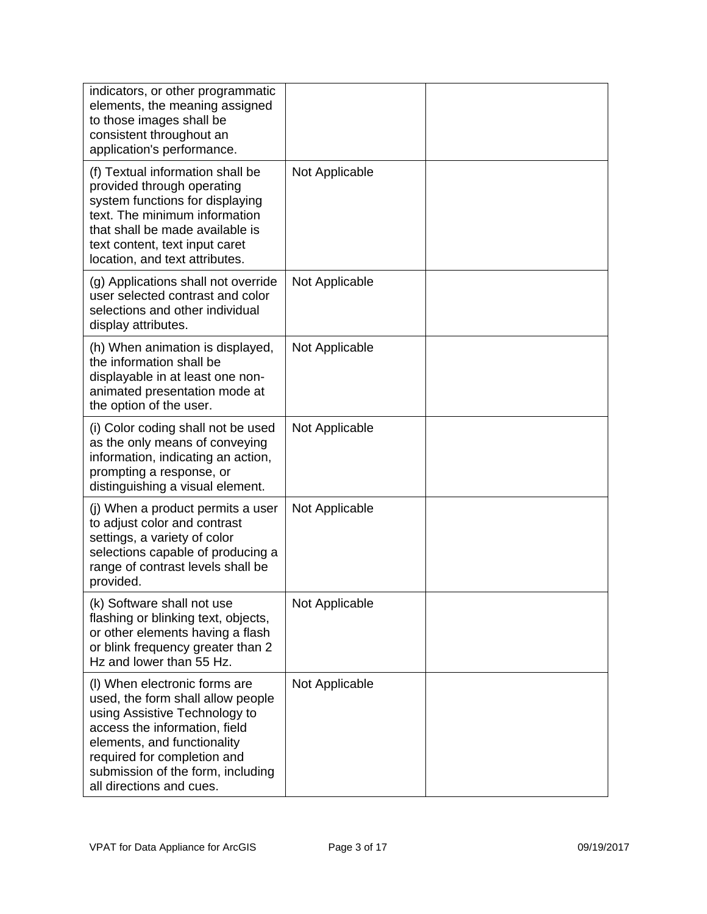| indicators, or other programmatic<br>elements, the meaning assigned<br>to those images shall be<br>consistent throughout an<br>application's performance.                                                                                                           |                |  |
|---------------------------------------------------------------------------------------------------------------------------------------------------------------------------------------------------------------------------------------------------------------------|----------------|--|
| (f) Textual information shall be<br>provided through operating<br>system functions for displaying<br>text. The minimum information<br>that shall be made available is<br>text content, text input caret<br>location, and text attributes.                           | Not Applicable |  |
| (g) Applications shall not override<br>user selected contrast and color<br>selections and other individual<br>display attributes.                                                                                                                                   | Not Applicable |  |
| (h) When animation is displayed,<br>the information shall be<br>displayable in at least one non-<br>animated presentation mode at<br>the option of the user.                                                                                                        | Not Applicable |  |
| (i) Color coding shall not be used<br>as the only means of conveying<br>information, indicating an action,<br>prompting a response, or<br>distinguishing a visual element.                                                                                          | Not Applicable |  |
| (j) When a product permits a user<br>to adjust color and contrast<br>settings, a variety of color<br>selections capable of producing a<br>range of contrast levels shall be<br>provided.                                                                            | Not Applicable |  |
| (k) Software shall not use<br>flashing or blinking text, objects,<br>or other elements having a flash<br>or blink frequency greater than 2<br>Hz and lower than 55 Hz.                                                                                              | Not Applicable |  |
| (I) When electronic forms are<br>used, the form shall allow people<br>using Assistive Technology to<br>access the information, field<br>elements, and functionality<br>required for completion and<br>submission of the form, including<br>all directions and cues. | Not Applicable |  |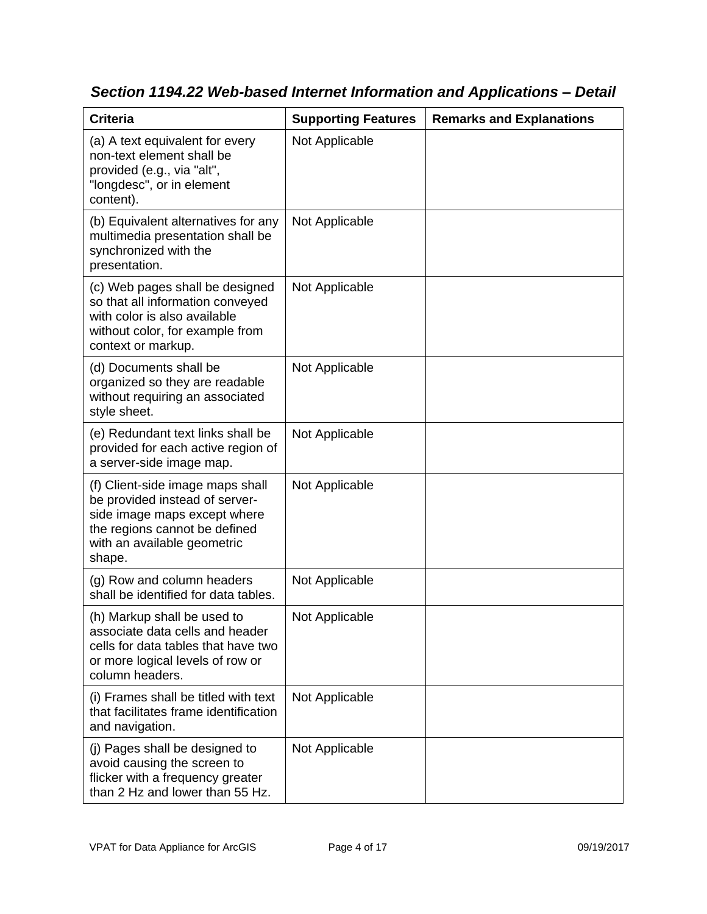| <b>Criteria</b>                                                                                                                                                              | <b>Supporting Features</b> | <b>Remarks and Explanations</b> |
|------------------------------------------------------------------------------------------------------------------------------------------------------------------------------|----------------------------|---------------------------------|
| (a) A text equivalent for every<br>non-text element shall be<br>provided (e.g., via "alt",<br>"longdesc", or in element<br>content).                                         | Not Applicable             |                                 |
| (b) Equivalent alternatives for any<br>multimedia presentation shall be<br>synchronized with the<br>presentation.                                                            | Not Applicable             |                                 |
| (c) Web pages shall be designed<br>so that all information conveyed<br>with color is also available<br>without color, for example from<br>context or markup.                 | Not Applicable             |                                 |
| (d) Documents shall be<br>organized so they are readable<br>without requiring an associated<br>style sheet.                                                                  | Not Applicable             |                                 |
| (e) Redundant text links shall be<br>provided for each active region of<br>a server-side image map.                                                                          | Not Applicable             |                                 |
| (f) Client-side image maps shall<br>be provided instead of server-<br>side image maps except where<br>the regions cannot be defined<br>with an available geometric<br>shape. | Not Applicable             |                                 |
| (g) Row and column headers<br>shall be identified for data tables.                                                                                                           | Not Applicable             |                                 |
| (h) Markup shall be used to<br>associate data cells and header<br>cells for data tables that have two<br>or more logical levels of row or<br>column headers.                 | Not Applicable             |                                 |
| (i) Frames shall be titled with text<br>that facilitates frame identification<br>and navigation.                                                                             | Not Applicable             |                                 |
| (j) Pages shall be designed to<br>avoid causing the screen to<br>flicker with a frequency greater<br>than 2 Hz and lower than 55 Hz.                                         | Not Applicable             |                                 |

*Section 1194.22 Web-based Internet Information and Applications – Detail*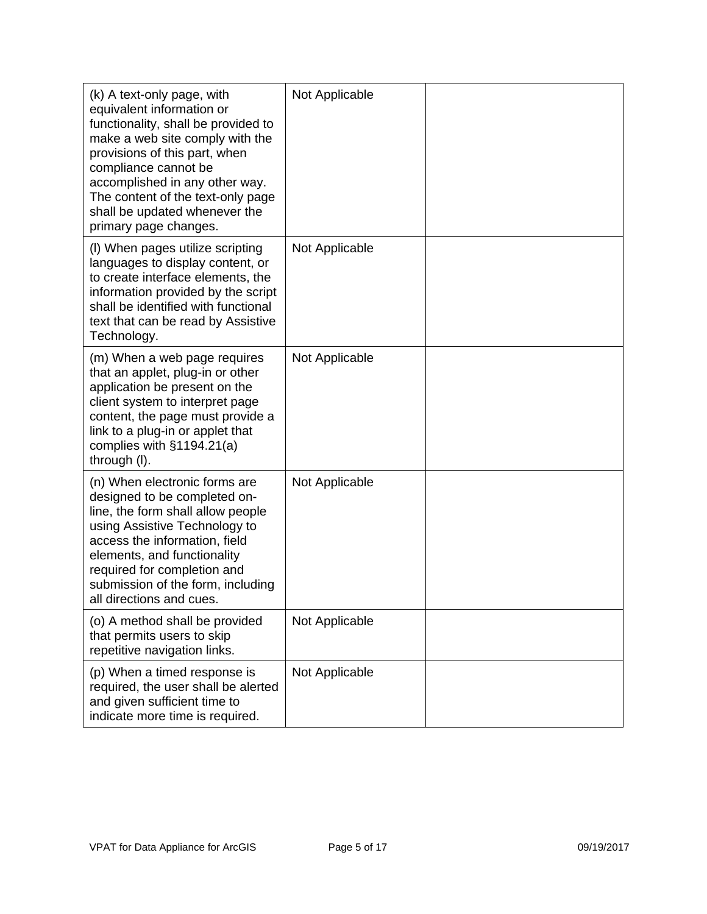| (k) A text-only page, with<br>equivalent information or<br>functionality, shall be provided to<br>make a web site comply with the<br>provisions of this part, when<br>compliance cannot be<br>accomplished in any other way.<br>The content of the text-only page<br>shall be updated whenever the<br>primary page changes. | Not Applicable |  |
|-----------------------------------------------------------------------------------------------------------------------------------------------------------------------------------------------------------------------------------------------------------------------------------------------------------------------------|----------------|--|
| (I) When pages utilize scripting<br>languages to display content, or<br>to create interface elements, the<br>information provided by the script<br>shall be identified with functional<br>text that can be read by Assistive<br>Technology.                                                                                 | Not Applicable |  |
| (m) When a web page requires<br>that an applet, plug-in or other<br>application be present on the<br>client system to interpret page<br>content, the page must provide a<br>link to a plug-in or applet that<br>complies with $§1194.21(a)$<br>through (I).                                                                 | Not Applicable |  |
| (n) When electronic forms are<br>designed to be completed on-<br>line, the form shall allow people<br>using Assistive Technology to<br>access the information, field<br>elements, and functionality<br>required for completion and<br>submission of the form, including<br>all directions and cues.                         | Not Applicable |  |
| (o) A method shall be provided<br>that permits users to skip<br>repetitive navigation links.                                                                                                                                                                                                                                | Not Applicable |  |
| (p) When a timed response is<br>required, the user shall be alerted<br>and given sufficient time to<br>indicate more time is required.                                                                                                                                                                                      | Not Applicable |  |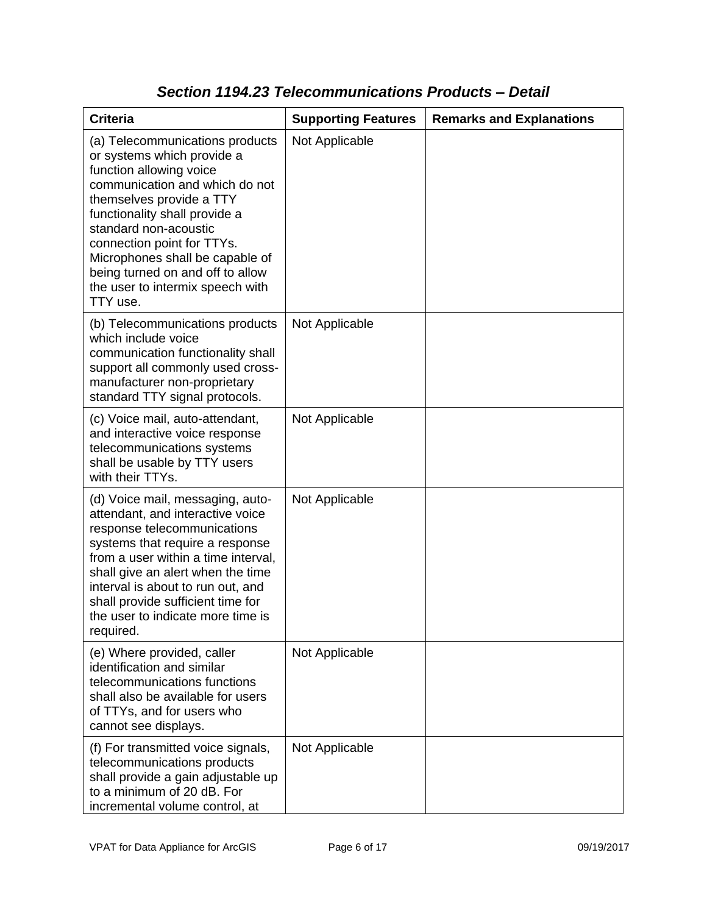| <b>Criteria</b>                                                                                                                                                                                                                                                                                                                                                       | <b>Supporting Features</b> | <b>Remarks and Explanations</b> |
|-----------------------------------------------------------------------------------------------------------------------------------------------------------------------------------------------------------------------------------------------------------------------------------------------------------------------------------------------------------------------|----------------------------|---------------------------------|
| (a) Telecommunications products<br>or systems which provide a<br>function allowing voice<br>communication and which do not<br>themselves provide a TTY<br>functionality shall provide a<br>standard non-acoustic<br>connection point for TTYs.<br>Microphones shall be capable of<br>being turned on and off to allow<br>the user to intermix speech with<br>TTY use. | Not Applicable             |                                 |
| (b) Telecommunications products<br>which include voice<br>communication functionality shall<br>support all commonly used cross-<br>manufacturer non-proprietary<br>standard TTY signal protocols.                                                                                                                                                                     | Not Applicable             |                                 |
| (c) Voice mail, auto-attendant,<br>and interactive voice response<br>telecommunications systems<br>shall be usable by TTY users<br>with their TTYs.                                                                                                                                                                                                                   | Not Applicable             |                                 |
| (d) Voice mail, messaging, auto-<br>attendant, and interactive voice<br>response telecommunications<br>systems that require a response<br>from a user within a time interval,<br>shall give an alert when the time<br>interval is about to run out, and<br>shall provide sufficient time for<br>the user to indicate more time is<br>required.                        | Not Applicable             |                                 |
| (e) Where provided, caller<br>identification and similar<br>telecommunications functions<br>shall also be available for users<br>of TTYs, and for users who<br>cannot see displays.                                                                                                                                                                                   | Not Applicable             |                                 |
| (f) For transmitted voice signals,<br>telecommunications products<br>shall provide a gain adjustable up<br>to a minimum of 20 dB. For<br>incremental volume control, at                                                                                                                                                                                               | Not Applicable             |                                 |

### *Section 1194.23 Telecommunications Products – Detail*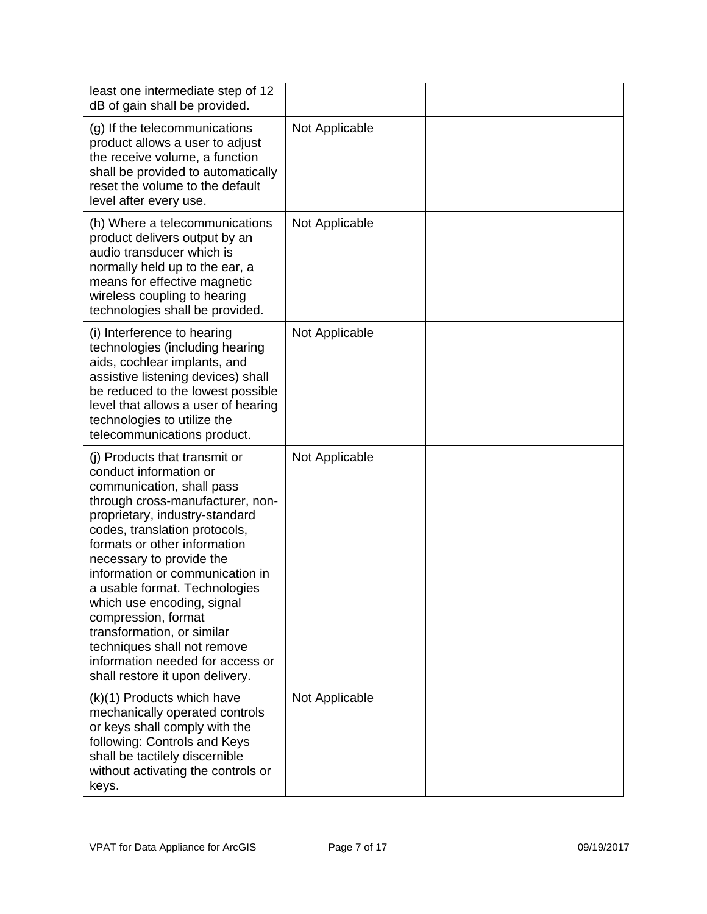| least one intermediate step of 12<br>dB of gain shall be provided.                                                                                                                                                                                                                                                                                                                                                                                                                                                   |                |  |
|----------------------------------------------------------------------------------------------------------------------------------------------------------------------------------------------------------------------------------------------------------------------------------------------------------------------------------------------------------------------------------------------------------------------------------------------------------------------------------------------------------------------|----------------|--|
| (g) If the telecommunications<br>product allows a user to adjust<br>the receive volume, a function<br>shall be provided to automatically<br>reset the volume to the default<br>level after every use.                                                                                                                                                                                                                                                                                                                | Not Applicable |  |
| (h) Where a telecommunications<br>product delivers output by an<br>audio transducer which is<br>normally held up to the ear, a<br>means for effective magnetic<br>wireless coupling to hearing<br>technologies shall be provided.                                                                                                                                                                                                                                                                                    | Not Applicable |  |
| (i) Interference to hearing<br>technologies (including hearing<br>aids, cochlear implants, and<br>assistive listening devices) shall<br>be reduced to the lowest possible<br>level that allows a user of hearing<br>technologies to utilize the<br>telecommunications product.                                                                                                                                                                                                                                       | Not Applicable |  |
| (i) Products that transmit or<br>conduct information or<br>communication, shall pass<br>through cross-manufacturer, non-<br>proprietary, industry-standard<br>codes, translation protocols,<br>formats or other information<br>necessary to provide the<br>information or communication in<br>a usable format. Technologies<br>which use encoding, signal<br>compression, format<br>transformation, or similar<br>techniques shall not remove<br>information needed for access or<br>shall restore it upon delivery. | Not Applicable |  |
| (k)(1) Products which have<br>mechanically operated controls<br>or keys shall comply with the<br>following: Controls and Keys<br>shall be tactilely discernible<br>without activating the controls or<br>keys.                                                                                                                                                                                                                                                                                                       | Not Applicable |  |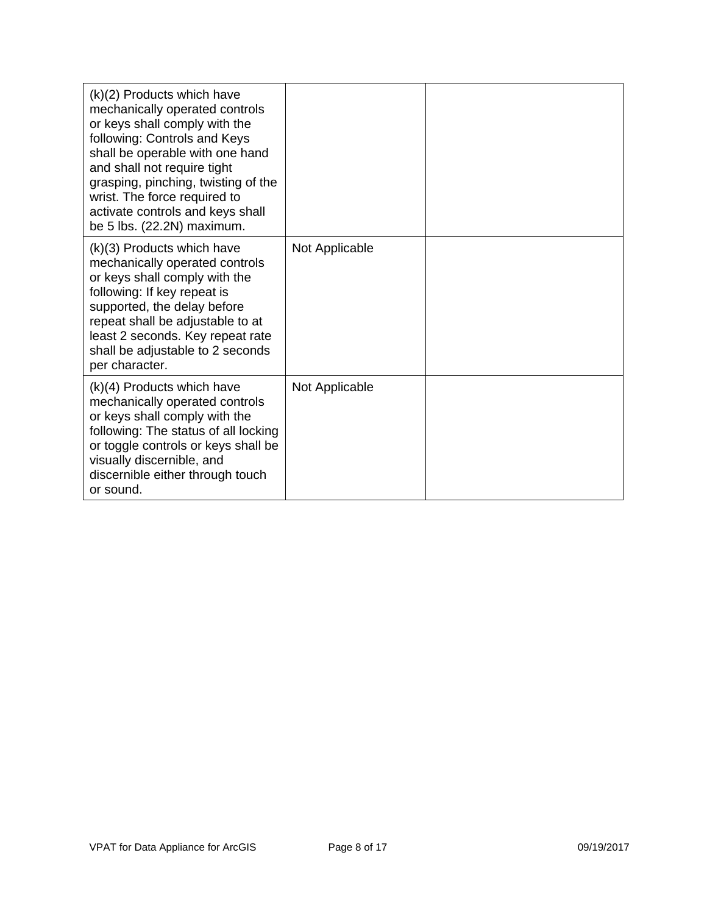| $(k)(2)$ Products which have<br>mechanically operated controls<br>or keys shall comply with the<br>following: Controls and Keys<br>shall be operable with one hand<br>and shall not require tight<br>grasping, pinching, twisting of the<br>wrist. The force required to<br>activate controls and keys shall<br>be 5 lbs. (22.2N) maximum. |                |  |
|--------------------------------------------------------------------------------------------------------------------------------------------------------------------------------------------------------------------------------------------------------------------------------------------------------------------------------------------|----------------|--|
| $(k)(3)$ Products which have<br>mechanically operated controls<br>or keys shall comply with the<br>following: If key repeat is<br>supported, the delay before<br>repeat shall be adjustable to at<br>least 2 seconds. Key repeat rate<br>shall be adjustable to 2 seconds<br>per character.                                                | Not Applicable |  |
| $(k)(4)$ Products which have<br>mechanically operated controls<br>or keys shall comply with the<br>following: The status of all locking<br>or toggle controls or keys shall be<br>visually discernible, and<br>discernible either through touch<br>or sound.                                                                               | Not Applicable |  |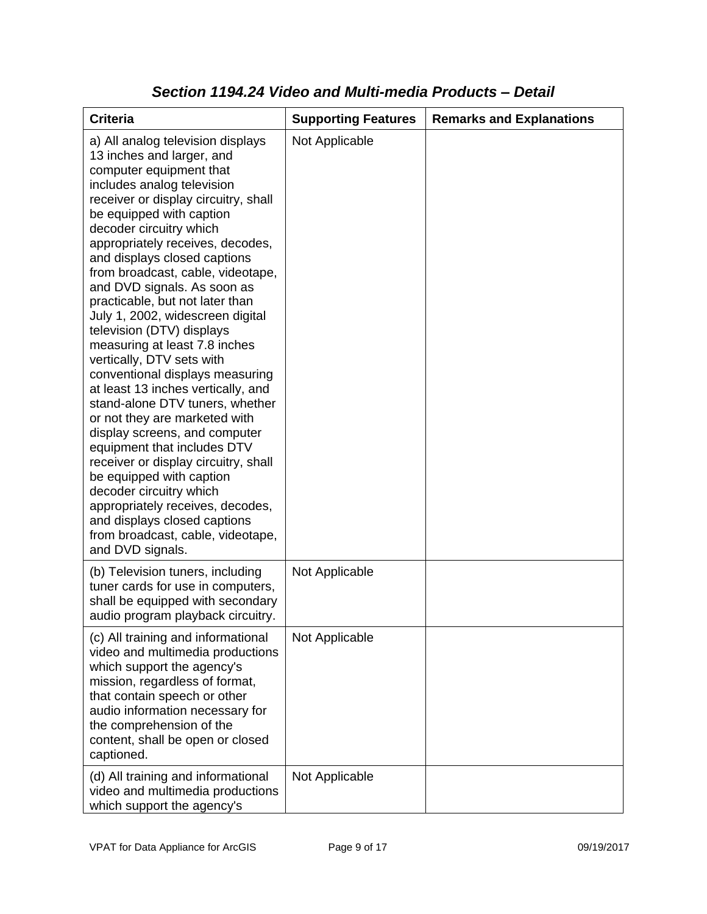| <b>Criteria</b>                                                                                                                                                                                                                                                                                                                                                                                                                                                                                                                                                                                                                                                                                                                                                                                                                                                                                                                                                           | <b>Supporting Features</b> | <b>Remarks and Explanations</b> |
|---------------------------------------------------------------------------------------------------------------------------------------------------------------------------------------------------------------------------------------------------------------------------------------------------------------------------------------------------------------------------------------------------------------------------------------------------------------------------------------------------------------------------------------------------------------------------------------------------------------------------------------------------------------------------------------------------------------------------------------------------------------------------------------------------------------------------------------------------------------------------------------------------------------------------------------------------------------------------|----------------------------|---------------------------------|
| a) All analog television displays<br>13 inches and larger, and<br>computer equipment that<br>includes analog television<br>receiver or display circuitry, shall<br>be equipped with caption<br>decoder circuitry which<br>appropriately receives, decodes,<br>and displays closed captions<br>from broadcast, cable, videotape,<br>and DVD signals. As soon as<br>practicable, but not later than<br>July 1, 2002, widescreen digital<br>television (DTV) displays<br>measuring at least 7.8 inches<br>vertically, DTV sets with<br>conventional displays measuring<br>at least 13 inches vertically, and<br>stand-alone DTV tuners, whether<br>or not they are marketed with<br>display screens, and computer<br>equipment that includes DTV<br>receiver or display circuitry, shall<br>be equipped with caption<br>decoder circuitry which<br>appropriately receives, decodes,<br>and displays closed captions<br>from broadcast, cable, videotape,<br>and DVD signals. | Not Applicable             |                                 |
| (b) Television tuners, including<br>tuner cards for use in computers,<br>shall be equipped with secondary<br>audio program playback circuitry.                                                                                                                                                                                                                                                                                                                                                                                                                                                                                                                                                                                                                                                                                                                                                                                                                            | Not Applicable             |                                 |
| (c) All training and informational<br>video and multimedia productions<br>which support the agency's<br>mission, regardless of format,<br>that contain speech or other<br>audio information necessary for<br>the comprehension of the<br>content, shall be open or closed<br>captioned.                                                                                                                                                                                                                                                                                                                                                                                                                                                                                                                                                                                                                                                                                   | Not Applicable             |                                 |
| (d) All training and informational<br>video and multimedia productions<br>which support the agency's                                                                                                                                                                                                                                                                                                                                                                                                                                                                                                                                                                                                                                                                                                                                                                                                                                                                      | Not Applicable             |                                 |

### *Section 1194.24 Video and Multi-media Products – Detail*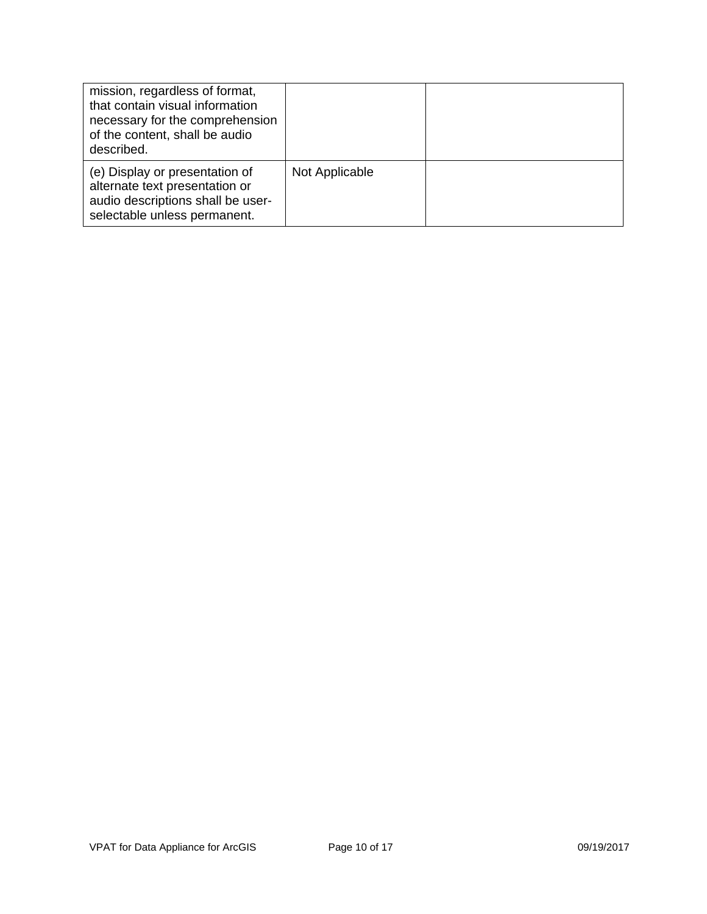| mission, regardless of format,<br>that contain visual information<br>necessary for the comprehension<br>of the content, shall be audio<br>described. |                |  |
|------------------------------------------------------------------------------------------------------------------------------------------------------|----------------|--|
| (e) Display or presentation of<br>alternate text presentation or<br>audio descriptions shall be user-<br>selectable unless permanent.                | Not Applicable |  |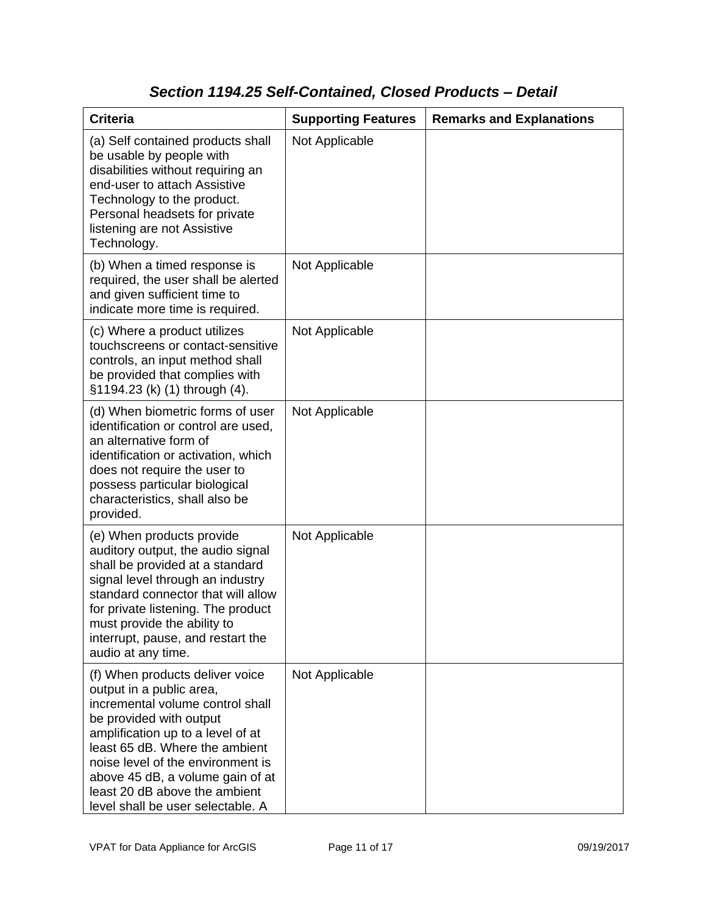## *Section 1194.25 Self-Contained, Closed Products – Detail*

| <b>Criteria</b>                                                                                                                                                                                                                                                                                                                                  | <b>Supporting Features</b> | <b>Remarks and Explanations</b> |
|--------------------------------------------------------------------------------------------------------------------------------------------------------------------------------------------------------------------------------------------------------------------------------------------------------------------------------------------------|----------------------------|---------------------------------|
| (a) Self contained products shall<br>be usable by people with<br>disabilities without requiring an<br>end-user to attach Assistive<br>Technology to the product.<br>Personal headsets for private<br>listening are not Assistive<br>Technology.                                                                                                  | Not Applicable             |                                 |
| (b) When a timed response is<br>required, the user shall be alerted<br>and given sufficient time to<br>indicate more time is required.                                                                                                                                                                                                           | Not Applicable             |                                 |
| (c) Where a product utilizes<br>touchscreens or contact-sensitive<br>controls, an input method shall<br>be provided that complies with<br>§1194.23 (k) (1) through (4).                                                                                                                                                                          | Not Applicable             |                                 |
| (d) When biometric forms of user<br>identification or control are used,<br>an alternative form of<br>identification or activation, which<br>does not require the user to<br>possess particular biological<br>characteristics, shall also be<br>provided.                                                                                         | Not Applicable             |                                 |
| (e) When products provide<br>auditory output, the audio signal<br>shall be provided at a standard<br>signal level through an industry<br>standard connector that will allow<br>for private listening. The product<br>must provide the ability to<br>interrupt, pause, and restart the<br>audio at any time.                                      | Not Applicable             |                                 |
| (f) When products deliver voice<br>output in a public area,<br>incremental volume control shall<br>be provided with output<br>amplification up to a level of at<br>least 65 dB. Where the ambient<br>noise level of the environment is<br>above 45 dB, a volume gain of at<br>least 20 dB above the ambient<br>level shall be user selectable. A | Not Applicable             |                                 |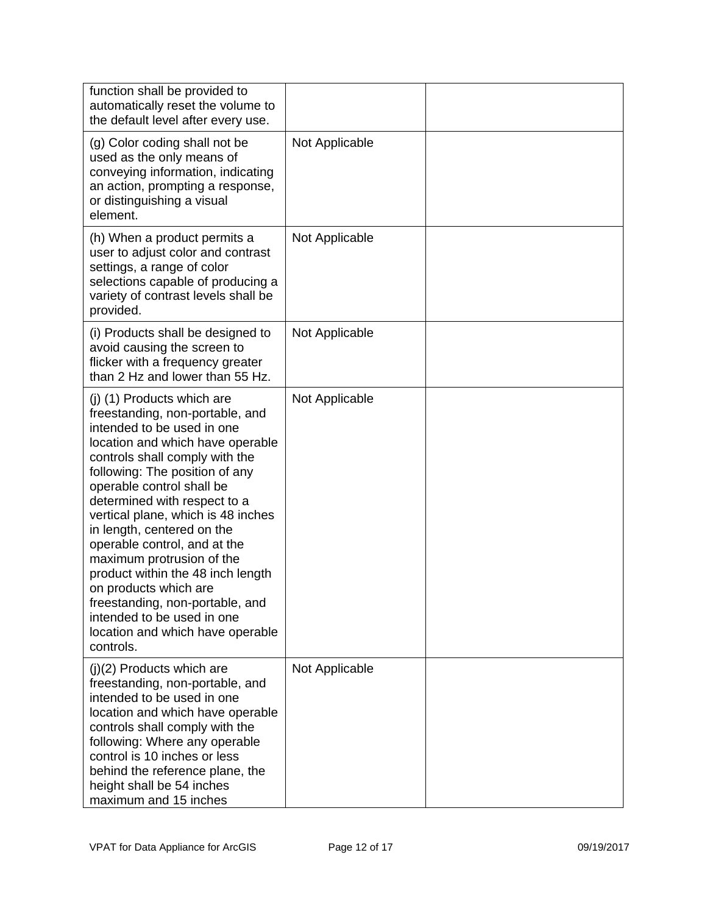| function shall be provided to<br>automatically reset the volume to<br>the default level after every use.                                                                                                                                                                                                                                                                                                                                                                                                                                                                          |                |  |
|-----------------------------------------------------------------------------------------------------------------------------------------------------------------------------------------------------------------------------------------------------------------------------------------------------------------------------------------------------------------------------------------------------------------------------------------------------------------------------------------------------------------------------------------------------------------------------------|----------------|--|
| (g) Color coding shall not be<br>used as the only means of<br>conveying information, indicating<br>an action, prompting a response,<br>or distinguishing a visual<br>element.                                                                                                                                                                                                                                                                                                                                                                                                     | Not Applicable |  |
| (h) When a product permits a<br>user to adjust color and contrast<br>settings, a range of color<br>selections capable of producing a<br>variety of contrast levels shall be<br>provided.                                                                                                                                                                                                                                                                                                                                                                                          | Not Applicable |  |
| (i) Products shall be designed to<br>avoid causing the screen to<br>flicker with a frequency greater<br>than 2 Hz and lower than 55 Hz.                                                                                                                                                                                                                                                                                                                                                                                                                                           | Not Applicable |  |
| (j) (1) Products which are<br>freestanding, non-portable, and<br>intended to be used in one<br>location and which have operable<br>controls shall comply with the<br>following: The position of any<br>operable control shall be<br>determined with respect to a<br>vertical plane, which is 48 inches<br>in length, centered on the<br>operable control, and at the<br>maximum protrusion of the<br>product within the 48 inch length<br>on products which are<br>freestanding, non-portable, and<br>intended to be used in one<br>location and which have operable<br>controls. | Not Applicable |  |
| $(j)(2)$ Products which are<br>freestanding, non-portable, and<br>intended to be used in one<br>location and which have operable<br>controls shall comply with the<br>following: Where any operable<br>control is 10 inches or less<br>behind the reference plane, the<br>height shall be 54 inches<br>maximum and 15 inches                                                                                                                                                                                                                                                      | Not Applicable |  |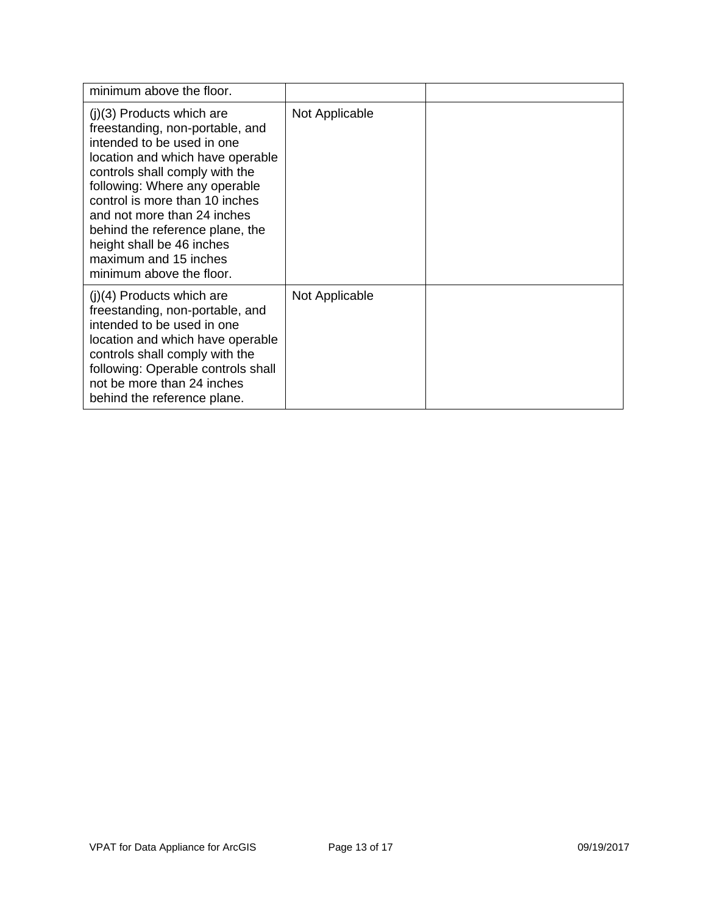| minimum above the floor.                                                                                                                                                                                                                                                                                                                                                                  |                |  |
|-------------------------------------------------------------------------------------------------------------------------------------------------------------------------------------------------------------------------------------------------------------------------------------------------------------------------------------------------------------------------------------------|----------------|--|
| $(j)(3)$ Products which are<br>freestanding, non-portable, and<br>intended to be used in one<br>location and which have operable<br>controls shall comply with the<br>following: Where any operable<br>control is more than 10 inches<br>and not more than 24 inches<br>behind the reference plane, the<br>height shall be 46 inches<br>maximum and 15 inches<br>minimum above the floor. | Not Applicable |  |
| $(j)(4)$ Products which are<br>freestanding, non-portable, and<br>intended to be used in one<br>location and which have operable<br>controls shall comply with the<br>following: Operable controls shall<br>not be more than 24 inches<br>behind the reference plane.                                                                                                                     | Not Applicable |  |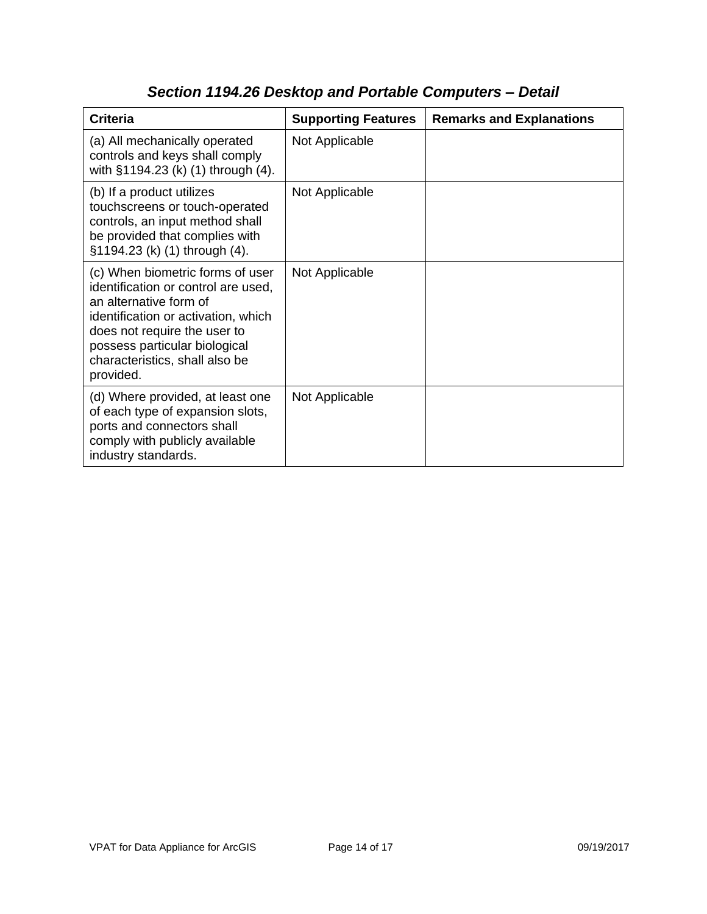| <b>Criteria</b>                                                                                                                                                                                                                                          | <b>Supporting Features</b> | <b>Remarks and Explanations</b> |
|----------------------------------------------------------------------------------------------------------------------------------------------------------------------------------------------------------------------------------------------------------|----------------------------|---------------------------------|
| (a) All mechanically operated<br>controls and keys shall comply<br>with §1194.23 (k) (1) through (4).                                                                                                                                                    | Not Applicable             |                                 |
| (b) If a product utilizes<br>touchscreens or touch-operated<br>controls, an input method shall<br>be provided that complies with<br>§1194.23 (k) (1) through (4).                                                                                        | Not Applicable             |                                 |
| (c) When biometric forms of user<br>identification or control are used,<br>an alternative form of<br>identification or activation, which<br>does not require the user to<br>possess particular biological<br>characteristics, shall also be<br>provided. | Not Applicable             |                                 |
| (d) Where provided, at least one<br>of each type of expansion slots,<br>ports and connectors shall<br>comply with publicly available<br>industry standards.                                                                                              | Not Applicable             |                                 |

# *Section 1194.26 Desktop and Portable Computers – Detail*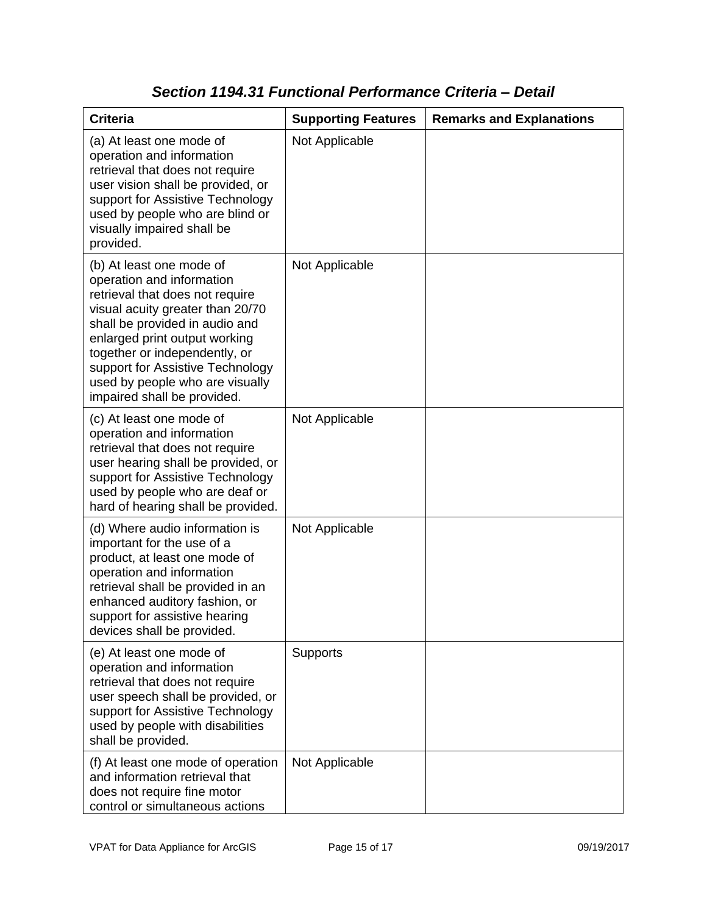| <b>Criteria</b>                                                                                                                                                                                                                                                                                                                        | <b>Supporting Features</b> | <b>Remarks and Explanations</b> |
|----------------------------------------------------------------------------------------------------------------------------------------------------------------------------------------------------------------------------------------------------------------------------------------------------------------------------------------|----------------------------|---------------------------------|
| (a) At least one mode of<br>operation and information<br>retrieval that does not require<br>user vision shall be provided, or<br>support for Assistive Technology<br>used by people who are blind or<br>visually impaired shall be<br>provided.                                                                                        | Not Applicable             |                                 |
| (b) At least one mode of<br>operation and information<br>retrieval that does not require<br>visual acuity greater than 20/70<br>shall be provided in audio and<br>enlarged print output working<br>together or independently, or<br>support for Assistive Technology<br>used by people who are visually<br>impaired shall be provided. | Not Applicable             |                                 |
| (c) At least one mode of<br>operation and information<br>retrieval that does not require<br>user hearing shall be provided, or<br>support for Assistive Technology<br>used by people who are deaf or<br>hard of hearing shall be provided.                                                                                             | Not Applicable             |                                 |
| (d) Where audio information is<br>important for the use of a<br>product, at least one mode of<br>operation and information<br>retrieval shall be provided in an<br>enhanced auditory fashion, or<br>support for assistive hearing<br>devices shall be provided.                                                                        | Not Applicable             |                                 |
| (e) At least one mode of<br>operation and information<br>retrieval that does not require<br>user speech shall be provided, or<br>support for Assistive Technology<br>used by people with disabilities<br>shall be provided.                                                                                                            | Supports                   |                                 |
| (f) At least one mode of operation<br>and information retrieval that<br>does not require fine motor<br>control or simultaneous actions                                                                                                                                                                                                 | Not Applicable             |                                 |

### *Section 1194.31 Functional Performance Criteria – Detail*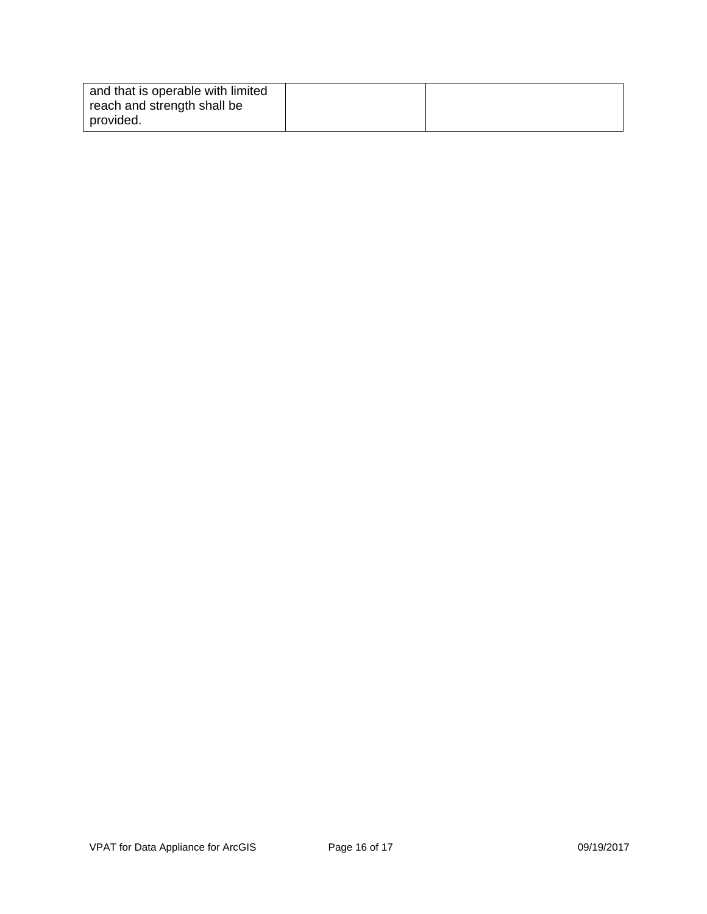| and that is operable with limited |  |
|-----------------------------------|--|
| reach and strength shall be       |  |
| provided.                         |  |